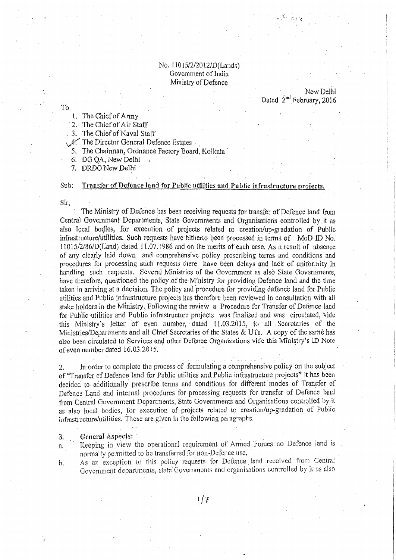## No. 11015/2/2012/D(Lands) Government of India Ministry of Defence

# New Delhi Dated 2<sup>nd</sup> February, 2016

To

- 1. The Chief of Army
- 2. The Chief of Air Staff

3. The Chief of Naval Staff

A. The Director General Defence Estates

- 5. The Chairman, Ordnance Factory Board, Kolkata
- 6. DG QA, New Delhi
- 7. DRDO New Delhi

#### Transfer of Defence land for Public utilities and Public infrastructure projects.  $Sub:$

Sir,

The Ministry of Defence has been receiving requests for transfer of Defence land from Central Government Departments, State Governments and Organisations controlled by it as also local bodies, for execution of projects related to creation/up-gradation of Public infrastructure/utilities. Such requests have hitherto been processed in terms of MoD ID No. 11015/2/86/D(Land) dated 11.07.1986 and on the merits of each case. As a result of absence of any clearly laid down and comprehensive policy prescribing terms and conditions and procedures for processing such requests there have been delays and lack of uniformity in handling such requests. Several Ministries of the Government as also State Governments, have therefore, questioned the policy of the Ministry for providing Defence land and the time taken in arriving at a decision. The policy and procedure for providing defence land for Public. utilities and Public infrastructure projects has therefore been reviewed in consultation with all stake holders in the Ministry. Following the review a Procedure for Transfer of Defence land for Public utilities and Public infrastructure projects was finalised and was circulated, vide this Ministry's letter of even number, dated 11.03.2015, to all Secretaries of the Ministries/Departments and all Chief Secretaries of the States & UTs. A copy of the same has also been circulated to Services and other Defence Organizations vide this Ministry's ID Note of even number dated  $16.03.2015$ .

In order to complete the process of formulating a comprehensive policy on the subject  $2.$ of "Transfer of Defence land for Public utilities and Public infrastructure projects" it has been decided to additionally prescribe terms and conditions for different modes of Transfer of Defence Land and internal procedures for processing requests for transfer of Defence land from Central Government Departments, State Governments and Organisations controlled by it as also local bodies, for execution of projects related to creation/up-gradation of Public infrastructure/utilities. These are given in the following paragraphs.

General Aspects: 3.

 $b.$ 

Keeping in view the operational requirement of Armed Forces no Defence land is  $a.$ normally permitted to be transferred for non-Defence use.

As an exception to this policy requests for Defence land received from Central Government departments, state Governments and organisations controlled by it as also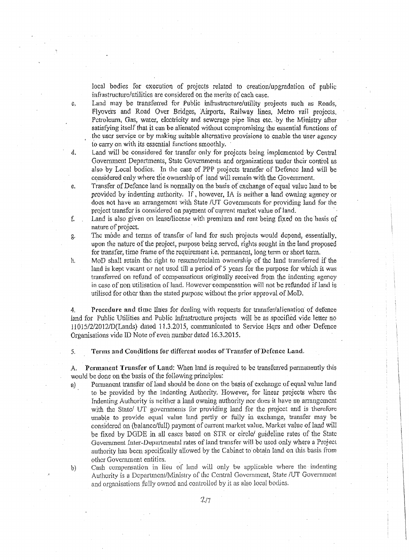local bodies for execution of projects related to creation/upgradation of public infrastructure/utilities are considered on the merits of each case.

c. Land may be transferred for Public infrastructure/utility projects such as Roads, Flyovers and Road Over Bridges, Airports, Railway lines, Metro rail projects, Petroleum, Gas, water, electricity and sewerage pipe lines etc. by the Ministry after satisfying itself that it can be alienated without compromising the essential functions of the user service or by making suitable alternative provisions to enable the user agency to carry on with its essential functions smoothly.

- d. Land will be considered for transfer only for projects being implemented by Central Government Departments, State Governments and organizations under their control as also by Local bodies. In the case of PPP projects transfer of Defence land will be considered only where the ownership of land will remain with the Government.
- e. Transfer of Defence land is nonna11y on the basis of exchange of equal value land to be provided by indenting authority. If, however, IA is neither a land owning agency or does not have an arrangement with State /UT Governments for providing land for the project transfer is considered on payment of current market value of land.
- f. Land is ulso given on lease/license with premium and rent being fixed on the basis of nature of project.
- g. The mode and terms of transfer of land for such projects would depend, essentially, upon the nature of the project, purpose being served, rights sought in the land proposed for transfer, time frame of the requirement i.e. permanent, long term or short term.
- h. MoD shall retain the right to resume/reclaim ownership of the land transferred if the land is kept vacant or not used till a period of  $5$  years for the purpose for which it was transferred on refund or compensations origiuaUy received from the indenting agency in case of non utilisation of land. However componsation will not be refunded if land is utilised for other than the stated purpose without the prior approval of MoD.

4. Procedure and time lines for dealing with requests for transfer/alienation of defence land for Public Utilities and Public Infrastructure projects will be as specified vide letter no 11015/2/2012/D(Lands) dated 11.3.2015, communicated to Service Hqrs and other Defence Organisations vide ID Note of even number dated 16.3.2015.

5. Terms and Conditions for different modes of Transfer of Defence Land.

A. Permanent Transfer of Land: When land is required to be transferred permanently this would be done on the basis of the following principles:

- a) Permanent transfer of land should be done on the basis of exchange of equal value land to be provided by the Indenting Authority. However, for linear projects where the Indenting Authority is neither a land owning authority nor does it have an arrangement with the State/ UT governments for providing land for the project and is therefore unable to provide equal value land partly or fully in exchange, transfer may be considered on (balance/full) payment of current market value. Market value of land will be fixed by DGDE in all cases based on STR or circle/ guideline rates of the State Government Inter-Departmental rates of land transfer will be used only where a Project authority has been specifically allowed by the Cabinet to obtain land on this basis from other Govenunent entities.
- b) Cash compensation in lieu of lund will only be applicable where the indenting Authority is a Department/Ministry of the Central Government, State /UT Government and organisations fully owned and controlled by it as also local bodies.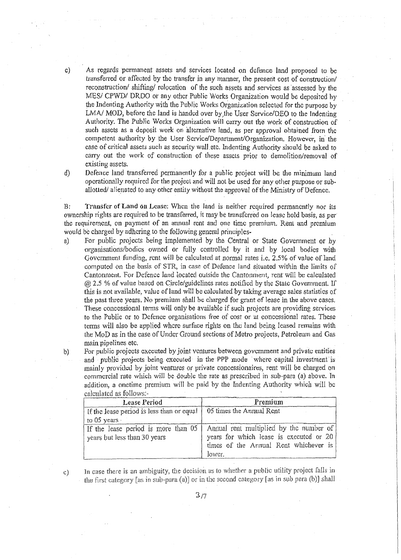As regards permanent assets and services located on defence land proposed to be transferred or affected by the transfer in any manner, the present cost of construction/ reconstruction/ shifting/ relocation of the such assets and services as assessed by the MES/ CPWD/ DRDO or any other Public Works Organization would be deposited by the Indenting Authority with the Public Works Organization selected for the purpose by LMA/ MOD, before the land is handed over by the User Service/DEO to the Indenting Authority. The Public Works Organization will carry out the work of construction of such assets as a deposit work on alternative land, as per approval obtained from the competent authority by the User Scrvice/Department/Organization, However, in the case of critical assets such as security wall etc. Indenting Authority should be asked to carry out the work of construction of these assets prior to demolition/removal of existing assets.

 $d)$ 

 $\mathbf{c}$ )

Defence land transferred permanently for a public project will be the minimum land operationally required for the project and will not be used for any other purpose or suballotted/alienated to any other entity without the approval of the Ministry of Defence.

Transfer of Land on Lease; When the land is neither required permanently nor its B: ownership rights are required to be transferred, it may be transferred on lease hold basis, as per the requirement, on payment of an annual rent and one time premium. Rent and premium would be charged by adhering to the following general principles-

 $a)$ For public projects being implemented by the Central or State Government or by organisations/bodies owned or fully controlled by it and by local bodies with Government funding, rent will be calculated at normal rates i.e. 2.5% of value of land computed on the basis of STR, in case of Defence land situated within the limits of Cantonment. For Defence land located outside the Cantonment, rent will be calculated (a) 2.5 % of value based on Circle/guidelines rates notified by the State Government. If this is not available, value of land will be calculated by taking average sales statistics of the past three years. No premium shall be charged for grant of lease in the above cases. These concessional terms will only be available if such projects are providing services to the Public or to Defence organisations free of cost or at concessional rates. These terms will also be applied where surface rights on the land being leased remains with the MoD as in the case of Under Ground sections of Metro projects, Petroleum and Gas main pipelines etc.

For public projects executed by joint ventures between government and private entities and public projects being executed in the PPP mode where capital investment is mainly provided by joint ventures or private concessionaires, rent will be charged on commercial rate which will be double the rate as prescribed in sub-para (a) above. In addition, a onetime premium will be paid by the Indenting Authority which will be calculated as follows:-

| <b>Lease Period</b>                                                 | Premium                                                                                                                               |
|---------------------------------------------------------------------|---------------------------------------------------------------------------------------------------------------------------------------|
| If the lease period is less than or equal<br>to $05$ years $\cdot$  | 05 times the Annual Rent                                                                                                              |
| If the lease period is more than 05<br>years but less than 30 years | Annual rent multiplied by the number of<br>years for which lease is executed or 20<br>times of the Annual Rent whichever is<br>lower. |

In case there is an ambiguity, the decision as to whether a public utility project falls in the first category [as in sub-para (a)] or in the second category [as in sub para (b)] shall

 $b)$ 

 $3/7$ 

 $c)$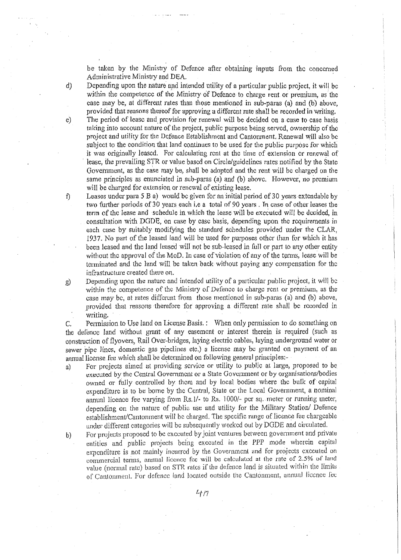be taken by the Ministry of Defence after obtaining inputs from the concerned Adrninistrative Ministry and DEA.

*d)* Depending upon the nature *apd* intended utillty of a particular public project, it will be within the competence of the Ministry of Defence to charge rent or premium, as the case may be, at different rates than those mentioned in sub-paras (a) and (b) above, provided that reasons thereof for approving u different rate shall be recorded in writing.

e) The period of lease and provision for renewal will be decided on a case to case basis taking into account nature of the project, public purpose being served, ownership of the project artd utility tor the Defence Establishment and Cantonrnent. Renewal will also be subject to the condition that land continues to be used for the public purpose for which it was originally leased. For calculating rent at the time of extension or renewal of lease, the prevailing STR or value based on Circle/guidelines rates notified by the State Government, as the case may be, shall be adopted and the rent will be charged on the same principles as enunciated in sub-paras  $(a)$  and  $(b)$  above. However, no premium will be charged for extension or renewal of existing lease.

f) Leases under para 5 B a) would be given for an initial period of 30 years extendable by two further periods of 30 years each i.e a total of 90 years. In case of other leases the term of the lease and schedule in which the lease will be executed will be decided, in consultation with DGDE, on case by case basis, depending upon the requirements in each case by suitably modifying the standard schedules provided under the CLAR, 1937. No part of the leased land will be used for purposes other than for which it has been leased and the land leased will not be sub-leased in full or part to any other entity without the approval of the MoD. In case of violation of any of the terms, lease will be terminated and the hmd will be taken back without paying any compensation for the infrastructure created there on.

g) Depending upon the nature and intended utility of a particular public project, it will be within the competence of the Ministry of Defence to charge rent or premium, as the case may be, at rates different from those mentioned in sub-paras (a) and (b) above, provided that reasons therefore tor approving a different rate shall be recorded in writing.

C. Permission to Use land on License Basis. : When only permission to do somelhing on the defence land without grant of any easement or interest therein is required (such as construction of flyovers, Rail Over-bridges, laying electric cables, laying underground water or sewer pipe lines, domestic gas pipelines etc.) a license may be granted on payment of an annual license fee which shall be determined on following general principles;-

a) For projects aimed at providing service or utility to public at large, proposed to be executed by the Central Government or a State Government or by organisations/bodies owned or fully controlled by them and by local bodies where the bulk of capital expendlturc is to be home by the Central, State or the Local Govemment, a nominal annual licence fee varying from Rs. 1/- to Rs. 1000/- per sq. meter or running meter, depending on the nature of public use and utility for the Military Station/ Defence establishment/Cantonment will be charged. The specific range of licence fee chargeable under different categories will be subsequently worked out by DGDE and circulated.

b) For projects proposed to be executed by joint ventures between government and private entities and public projects being executed in the PPP mode wherein capital expenditure is not mainly incurred by the Government and for projects executed on commercial terms, annual liecnce fee will be calculated at the rate of 2.5% of land value (normal rate) based on STR rates if the defence land is situated within the limits of Cantonment. For defence land located outside the Cantonment, annual licence fec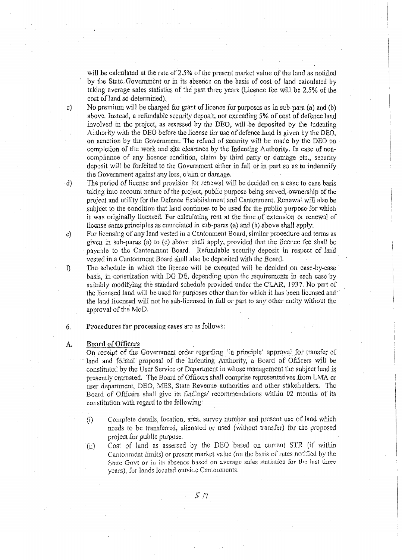will be calculated at the rate of 2.5% of the present market value of the land as notifiotl by the State Government or in its absence on the basis of cost of land calculated by taking average sales statistics of the past three years (Licence fee will be 2.5% of the cost of land so determined).

c) No premium will be charged for grant of licence for purposes as in sub-para (a) and (b) above. Instead, a refundable security deposit, not exceeding *5%* of cost of defence land involved in the project, as assessed by the DEO, will be deposited by the Indenting Authority with the DEO before the license for use of defence land is given by the DEO, on sanction by the Government. The refund of security will be made by the DEO on completion of the work and site clearance by the Indenting Authority. In case of noncompliance of any licence condition, claim by third party or damage etc., security deposit will be forfeited to the Government either in full or in part so as to indemnify the Government against any loss, claim or damage.

d) The period of license and provision for renewal will be decided on a case to case basis taking into account nature of the project, public purpose being served, ownership of the project and utility for the Defence Establishment and Cantomnent. Renewal will also be subject to the condition that land continues to be used for the public purpose for which it was originally licensed. For calculating rent at the time of extension or renewal of license same principles as enunciated in sub-paras (a) and (b) above shall apply.

e) For licensing of any land vested in a Cantomnent Board, similar procedure and terms as given in sub-paras (a) to (c) above shall apply, provided that the licence fee shall be payable to the Cantonment Board. Refundable security deposit in respect of land vested in a Cantonment Board shall also be deposited with the Board.

 $\eta$  The schedule in which the license will be executed will be decided on case-by-case basis, in consultation with DG DE, depending upon the requirements in each case 'by suitably modifying the standard schedule provided under the CLAR, 1937. No part of the licensed land will be used for purposes other than for which it has been licensed and  $\cdot$ the laod licensed will not be sub-licensed in full or part to any other entity Without the approval of the MoD.

6. P:roccdures for processing cases aro us follows:

### A. Board of Officers

On receipt of the Government order regarding 'in principle' approval for transfer of land and formal proposal of the Indenting Authority, a Board of Officers will be constinttccl by the User Service or Department in whose management the subject land is presently entrusted. The Board of Officers shall comprise representatives from LMA or user department, DEO, MES, State Revenue authorities and other stakehvlders. The Board of Officers shall give its findings/ recommendations within 02 months of its constitution with regard to the following:

- (i) Complete details, location, area, survey numher and present use of land whlch needs to be transferred, alienated or used (without transfer) for the proposed project for public purpose.
- (ii) Cost of land as assessed by the DEO based on current STR (if within Cantonment limits) or present market value (on the basis of rates notified by the State Govt or in its absence based on average sules statistics for the last three years), for lands located outside Cantonments.

. r *n*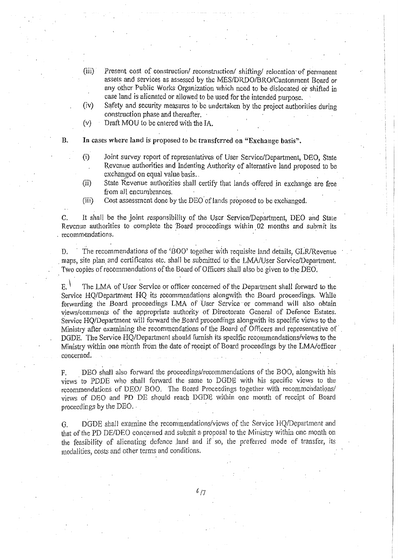- $(iii)$ Present cost of construction/ reconstruction/ shifting/ relocation of permanent assets and services as assessed by the MSS/DRDO/BRO/Cantonment Board or any other Public Works Organization which need to be dislocated or shifted in case land is alienated or allowed to be used for the intended purpose.
- (iv) Safety and security measures to be undertaken by the project authorities during construction phase and thereafter. ·
- (v) Draft MOU lobe entered with the TA.
- 
- B. In cases where land is proposed to be transferred on "Exchange basis".
	- (i) Joint survey report of representatives of User Service/Department, DEO, State Revenue authorities and Indenting Authority of alternative land proposed to be exchanged on equal value basis.
	- (ii) State Revenue authorities shall certify that lands offered in exchange are free from all encumbrances.
	- (iii) Cost assessment done by the DEO of lands proposed to be exchanged.

C. It shall be the joint responsibility of the User Service/Department, DEO and State Revenue authorities to complete the 'Board proceedings within 02 months and submit its recommendations.

D. The recommendations of the 'BOO' together with requisite land details, GLR/Revenue maps, site plan and certificates etc. shall be submitted to the LMA/User Service/Department. Two copies of recommendations of the Board of Officers shall also be given to the DEO.

 $E<sub>1</sub>$  The LMA of User Service or officer concerned of the Department shall forward to the Service HQ/Department HQ its recommendations alongwith the Board proceedings. While forwarding the Board proceedings LMA of User Service or command will also obtain views/comments of the appropriate authority of Directorate General of Defence Estates. Service HQ/Department will forward the Board proceedings alongwith its specific views to the Ministry after examining the recommendations of the Board of Officers and representative of. DGDE. The Service HQ/Department should fumish its specific recornmendations/views to the Ministry within one month from the date of receipt of Board proceedings by the LMA/officer concerned.

F. DEO shall also forward the proceedings/recommendations of the BOO, alongwith his views to PDDE who shall forward the same to DGDE with his specific views to the recommendations of DEO/ BOO. The Board Proceedings together with recommendations/ views of DEO and PO DE should reach DGD'C wilhin one month of receipt or Board proceedings by the  $DEO.$ .

G. DGDE shall examine the recommendations/views of the Service HQ/D epartment and that of the PD DE/DEO concerned and submit a proposal to the Ministry within one month on the feasibility of alienating defence Jand and if so, the preterred mode of transfer, its modalities, costs and other terms and conditions.